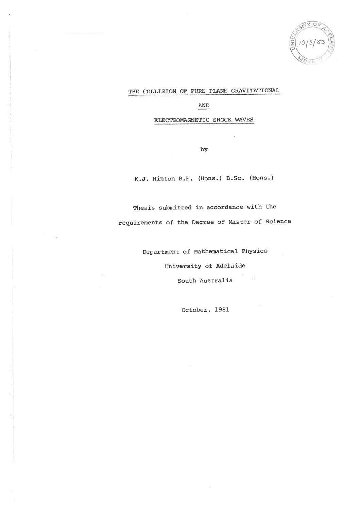### THE COLLISION OF PURE PLANE GRAVITATIONAL

### AND

ELECTROMAGNETIC SHOCK WAVES

by

K.J. Hinton B.E. (Hons.) B.Sc. (Hons.)

Thesis submitted in accordance with the requirements of the Degree of Master of Science

Department of Mathematical Physics

University of Adelaide

South Australia

October, 1981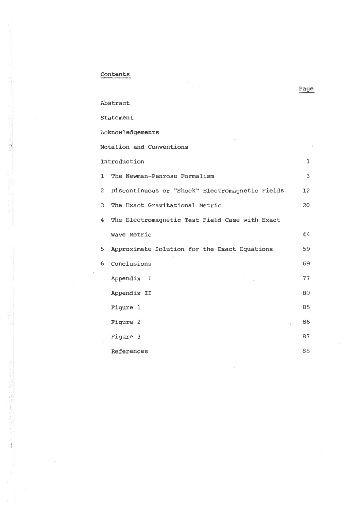## $Contents$

The State Country Country of

| Abstract                                                          |    |
|-------------------------------------------------------------------|----|
| Statement                                                         |    |
| Acknowledgements                                                  |    |
| Notation and Conventions                                          |    |
| Introduction                                                      | ı  |
| The Newman-Penrose Formalism<br>ı                                 | 3  |
| $\overline{2}$<br>Discontinuous or "Shock" Electromagnetic Fields | 12 |
| 3<br>The Exact Gravitational Metric                               | 20 |
| The Electromagnetic Test Field Case with Exact<br>4               |    |
| Wave Metric                                                       | 44 |
| 5<br>Approximate Solution for the Exact Equations                 | 59 |
| Conclusions<br>6.                                                 | 69 |
| Appendix I                                                        | 77 |
| Appendix II                                                       | 80 |
| Figure 1                                                          | 85 |
| Figure 2                                                          | 86 |
| Figure 3                                                          | 87 |
| References                                                        | 88 |

Page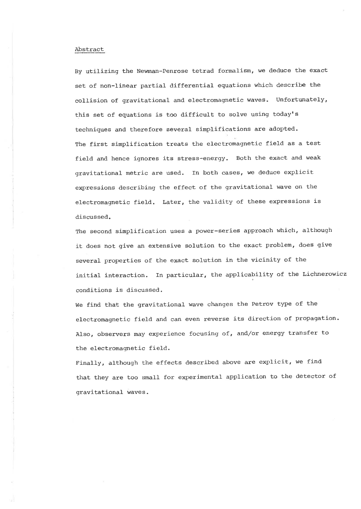#### Abstract

By utilizing the Newman-Penrose tetrad formalism, we deduce the exact set of non-Iinear partial differential equations which describe the collision of gravitational and electromagnetic waves. Unfortunately, this set of equations is too difficult to solve using today's techniques and therefore several simplifications are adopted. The first simplification treats the electromagnetic field as a test field and hence ignores its stress-energy. Both the exact and weak gravitational metric are used. In both cases, we deduce explicit expressions describing the effect of the gravitational wave on the electromagnetic field. Later, the validity of these expressions is discussed.

The second simplification uses a power-series approach which, although it does not give an extensive solution to the exact problem, does give several properties of the exact solution in the vicinity of the initial interaction. In particular, the applicability of the Lichnerowicz conditions is discussed.

We find that the gravitational wave changes the Petrov type of the electromagnetic field and can even reverse its direction of propagation. Also, observers may experience focusing of, and/or energy transfer to the electromagnetic field.

Finally, although the effects described above are explicit, we find that they are too small for experimental application to the detector of gravitational waves.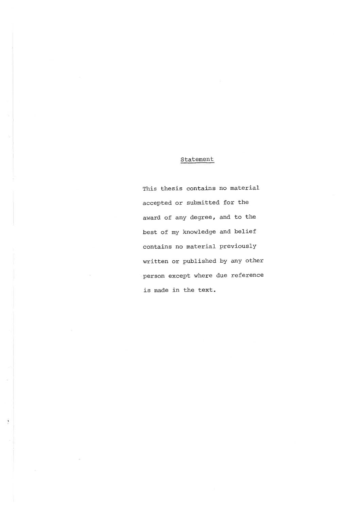## Statement

This thesis contains no material accepted or submitted for the award of any degree, and to the best of my knowledge and belief contains no material previously written or published by any other person except where due reference is made in the text.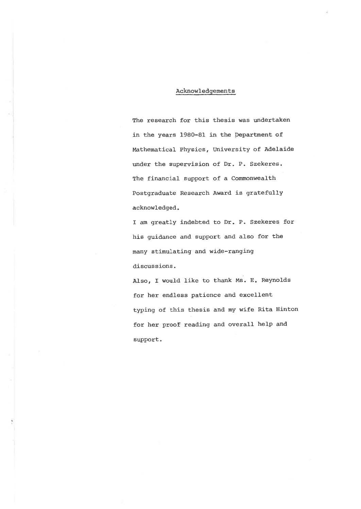#### Acknowledgements

The research for this thesis was undertaken in the years 1980-81 in the Department of Mathematical Physics, University of Adelaide under the supervision of Dr. P. Szekeres. The financial support of a Commonwealth Postgraduate Research Award. is gratefully acknowledged.

I am greatly indebted to Dr. P. Szekeres for his guidance and support and also for the many stimulating and wide-ranging discussions.

Also, I would like to thank Ms. E. Reynolds for her endless patience and excellent typing of this thesis and my wife Rita Hinton for her proof reading and overall help and support.